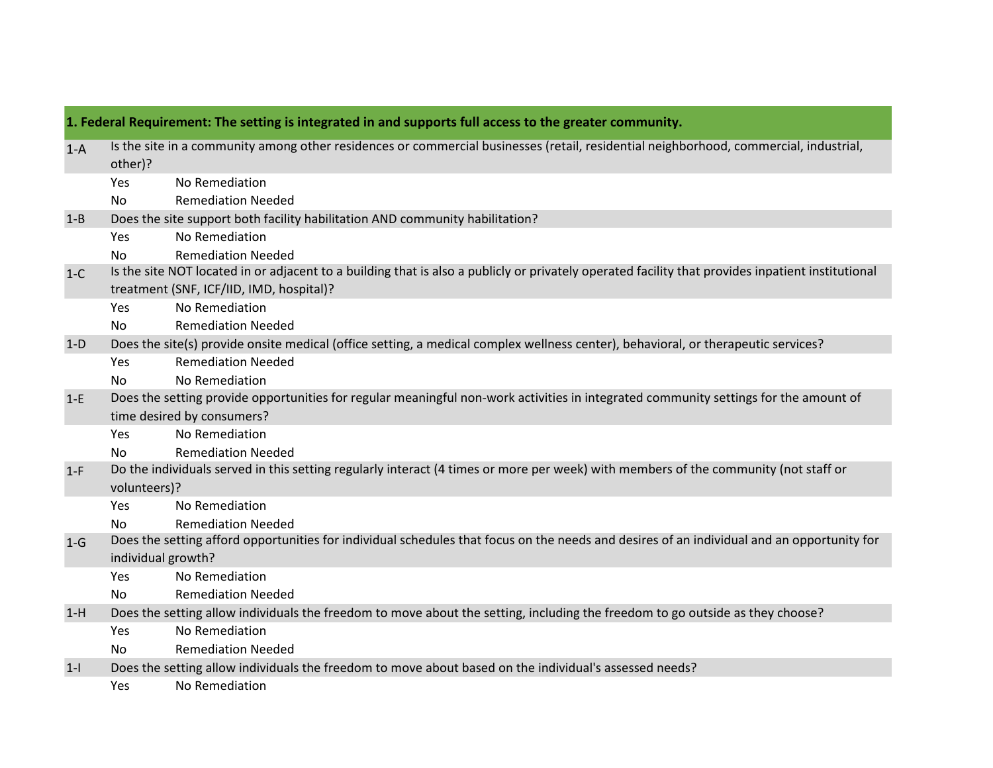| 1. Federal Requirement: The setting is integrated in and supports full access to the greater community. |                                                                                                                                            |                                                                                                                                                                                               |  |
|---------------------------------------------------------------------------------------------------------|--------------------------------------------------------------------------------------------------------------------------------------------|-----------------------------------------------------------------------------------------------------------------------------------------------------------------------------------------------|--|
| $1-A$                                                                                                   | other)?                                                                                                                                    | Is the site in a community among other residences or commercial businesses (retail, residential neighborhood, commercial, industrial,                                                         |  |
|                                                                                                         | Yes                                                                                                                                        | No Remediation                                                                                                                                                                                |  |
|                                                                                                         | No                                                                                                                                         | <b>Remediation Needed</b>                                                                                                                                                                     |  |
| $1 - B$                                                                                                 | Does the site support both facility habilitation AND community habilitation?                                                               |                                                                                                                                                                                               |  |
|                                                                                                         | Yes                                                                                                                                        | No Remediation                                                                                                                                                                                |  |
|                                                                                                         | No.                                                                                                                                        | <b>Remediation Needed</b>                                                                                                                                                                     |  |
| $1-C$                                                                                                   |                                                                                                                                            | Is the site NOT located in or adjacent to a building that is also a publicly or privately operated facility that provides inpatient institutional<br>treatment (SNF, ICF/IID, IMD, hospital)? |  |
|                                                                                                         | Yes                                                                                                                                        | No Remediation                                                                                                                                                                                |  |
|                                                                                                         | <b>No</b>                                                                                                                                  | <b>Remediation Needed</b>                                                                                                                                                                     |  |
| $1-D$                                                                                                   | Does the site(s) provide onsite medical (office setting, a medical complex wellness center), behavioral, or therapeutic services?          |                                                                                                                                                                                               |  |
|                                                                                                         | Yes                                                                                                                                        | <b>Remediation Needed</b>                                                                                                                                                                     |  |
|                                                                                                         | <b>No</b>                                                                                                                                  | No Remediation                                                                                                                                                                                |  |
| $1-E$                                                                                                   |                                                                                                                                            | Does the setting provide opportunities for regular meaningful non-work activities in integrated community settings for the amount of                                                          |  |
|                                                                                                         | time desired by consumers?                                                                                                                 |                                                                                                                                                                                               |  |
|                                                                                                         | <b>Yes</b>                                                                                                                                 | No Remediation                                                                                                                                                                                |  |
|                                                                                                         | No.                                                                                                                                        | <b>Remediation Needed</b>                                                                                                                                                                     |  |
| $1-F$                                                                                                   | Do the individuals served in this setting regularly interact (4 times or more per week) with members of the community (not staff or        |                                                                                                                                                                                               |  |
|                                                                                                         | volunteers)?                                                                                                                               |                                                                                                                                                                                               |  |
|                                                                                                         | Yes                                                                                                                                        | No Remediation                                                                                                                                                                                |  |
|                                                                                                         | No.                                                                                                                                        | <b>Remediation Needed</b>                                                                                                                                                                     |  |
| $1-G$                                                                                                   | Does the setting afford opportunities for individual schedules that focus on the needs and desires of an individual and an opportunity for |                                                                                                                                                                                               |  |
|                                                                                                         | individual growth?                                                                                                                         |                                                                                                                                                                                               |  |
|                                                                                                         | Yes                                                                                                                                        | No Remediation                                                                                                                                                                                |  |
|                                                                                                         | <b>No</b>                                                                                                                                  | <b>Remediation Needed</b>                                                                                                                                                                     |  |
| $1-H$                                                                                                   | Does the setting allow individuals the freedom to move about the setting, including the freedom to go outside as they choose?              |                                                                                                                                                                                               |  |
|                                                                                                         | Yes                                                                                                                                        | No Remediation                                                                                                                                                                                |  |
|                                                                                                         | No                                                                                                                                         | <b>Remediation Needed</b>                                                                                                                                                                     |  |
| $1 - 1$                                                                                                 |                                                                                                                                            | Does the setting allow individuals the freedom to move about based on the individual's assessed needs?                                                                                        |  |
|                                                                                                         | Yes                                                                                                                                        | No Remediation                                                                                                                                                                                |  |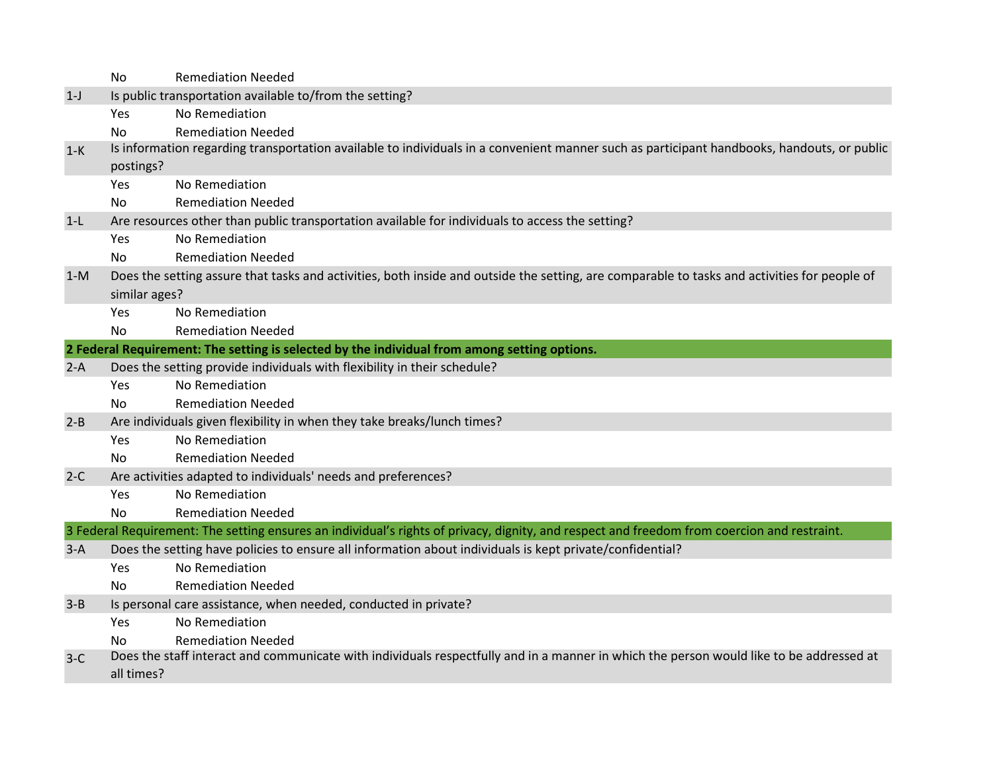|         | <b>No</b>                                                                                       | <b>Remediation Needed</b>                                                                                                                    |  |
|---------|-------------------------------------------------------------------------------------------------|----------------------------------------------------------------------------------------------------------------------------------------------|--|
| $1-J$   | Is public transportation available to/from the setting?                                         |                                                                                                                                              |  |
|         | Yes                                                                                             | No Remediation                                                                                                                               |  |
|         | N <sub>o</sub>                                                                                  | <b>Remediation Needed</b>                                                                                                                    |  |
| $1-K$   |                                                                                                 | Is information regarding transportation available to individuals in a convenient manner such as participant handbooks, handouts, or public   |  |
|         | postings?                                                                                       |                                                                                                                                              |  |
|         | Yes.                                                                                            | No Remediation                                                                                                                               |  |
|         | No.                                                                                             | <b>Remediation Needed</b>                                                                                                                    |  |
| $1-L$   | Are resources other than public transportation available for individuals to access the setting? |                                                                                                                                              |  |
|         | Yes                                                                                             | No Remediation                                                                                                                               |  |
|         | No.                                                                                             | <b>Remediation Needed</b>                                                                                                                    |  |
| $1-M$   |                                                                                                 | Does the setting assure that tasks and activities, both inside and outside the setting, are comparable to tasks and activities for people of |  |
|         | similar ages?                                                                                   |                                                                                                                                              |  |
|         | Yes                                                                                             | No Remediation                                                                                                                               |  |
|         | <b>No</b>                                                                                       | <b>Remediation Needed</b>                                                                                                                    |  |
|         |                                                                                                 | 2 Federal Requirement: The setting is selected by the individual from among setting options.                                                 |  |
| $2-A$   |                                                                                                 | Does the setting provide individuals with flexibility in their schedule?                                                                     |  |
|         | Yes                                                                                             | No Remediation                                                                                                                               |  |
|         | No.                                                                                             | <b>Remediation Needed</b>                                                                                                                    |  |
| $2 - B$ |                                                                                                 | Are individuals given flexibility in when they take breaks/lunch times?                                                                      |  |
|         | Yes                                                                                             | No Remediation                                                                                                                               |  |
|         | No.                                                                                             | <b>Remediation Needed</b>                                                                                                                    |  |
| $2-C$   | Are activities adapted to individuals' needs and preferences?                                   |                                                                                                                                              |  |
|         | Yes                                                                                             | No Remediation                                                                                                                               |  |
|         | <b>No</b>                                                                                       | <b>Remediation Needed</b>                                                                                                                    |  |
|         |                                                                                                 | 3 Federal Requirement: The setting ensures an individual's rights of privacy, dignity, and respect and freedom from coercion and restraint.  |  |
| $3-A$   |                                                                                                 | Does the setting have policies to ensure all information about individuals is kept private/confidential?                                     |  |
|         | Yes                                                                                             | No Remediation                                                                                                                               |  |
|         | No.                                                                                             | <b>Remediation Needed</b>                                                                                                                    |  |
| $3 - B$ |                                                                                                 | Is personal care assistance, when needed, conducted in private?                                                                              |  |
|         | Yes                                                                                             | No Remediation                                                                                                                               |  |
|         | No.                                                                                             | <b>Remediation Needed</b>                                                                                                                    |  |
| $3-C$   |                                                                                                 | Does the staff interact and communicate with individuals respectfully and in a manner in which the person would like to be addressed at      |  |
|         | all times?                                                                                      |                                                                                                                                              |  |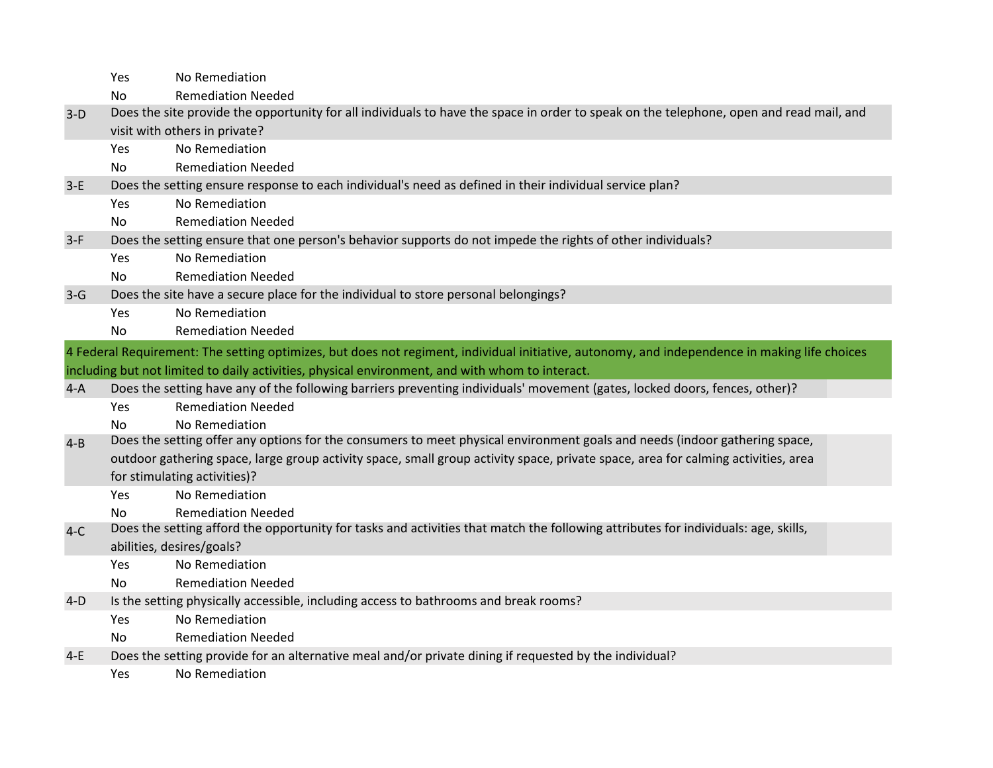|         | Yes                                                                                                        | No Remediation                                                                                                                                |  |  |
|---------|------------------------------------------------------------------------------------------------------------|-----------------------------------------------------------------------------------------------------------------------------------------------|--|--|
|         | No                                                                                                         | <b>Remediation Needed</b>                                                                                                                     |  |  |
| $3-D$   |                                                                                                            | Does the site provide the opportunity for all individuals to have the space in order to speak on the telephone, open and read mail, and       |  |  |
|         | visit with others in private?                                                                              |                                                                                                                                               |  |  |
|         | Yes                                                                                                        | No Remediation                                                                                                                                |  |  |
|         | N <sub>o</sub>                                                                                             | <b>Remediation Needed</b>                                                                                                                     |  |  |
| $3-E$   |                                                                                                            | Does the setting ensure response to each individual's need as defined in their individual service plan?                                       |  |  |
|         | <b>Yes</b>                                                                                                 | No Remediation                                                                                                                                |  |  |
|         | No                                                                                                         | <b>Remediation Needed</b>                                                                                                                     |  |  |
| $3-F$   | Does the setting ensure that one person's behavior supports do not impede the rights of other individuals? |                                                                                                                                               |  |  |
|         | Yes                                                                                                        | No Remediation                                                                                                                                |  |  |
|         | No.                                                                                                        | <b>Remediation Needed</b>                                                                                                                     |  |  |
| $3-G$   | Does the site have a secure place for the individual to store personal belongings?                         |                                                                                                                                               |  |  |
|         | Yes                                                                                                        | No Remediation                                                                                                                                |  |  |
|         | No.                                                                                                        | <b>Remediation Needed</b>                                                                                                                     |  |  |
|         |                                                                                                            | 4 Federal Requirement: The setting optimizes, but does not regiment, individual initiative, autonomy, and independence in making life choices |  |  |
|         |                                                                                                            | including but not limited to daily activities, physical environment, and with whom to interact.                                               |  |  |
|         |                                                                                                            |                                                                                                                                               |  |  |
| $4-A$   |                                                                                                            | Does the setting have any of the following barriers preventing individuals' movement (gates, locked doors, fences, other)?                    |  |  |
|         | Yes                                                                                                        | <b>Remediation Needed</b>                                                                                                                     |  |  |
|         | No                                                                                                         | No Remediation                                                                                                                                |  |  |
| $4 - B$ |                                                                                                            | Does the setting offer any options for the consumers to meet physical environment goals and needs (indoor gathering space,                    |  |  |
|         |                                                                                                            | outdoor gathering space, large group activity space, small group activity space, private space, area for calming activities, area             |  |  |
|         |                                                                                                            | for stimulating activities)?                                                                                                                  |  |  |
|         | Yes.                                                                                                       | No Remediation                                                                                                                                |  |  |
|         | No.                                                                                                        | <b>Remediation Needed</b>                                                                                                                     |  |  |
| $4-C$   |                                                                                                            | Does the setting afford the opportunity for tasks and activities that match the following attributes for individuals: age, skills,            |  |  |
|         |                                                                                                            | abilities, desires/goals?                                                                                                                     |  |  |
|         | Yes.                                                                                                       | No Remediation                                                                                                                                |  |  |
|         | No.                                                                                                        | <b>Remediation Needed</b>                                                                                                                     |  |  |
| $4-D$   |                                                                                                            | Is the setting physically accessible, including access to bathrooms and break rooms?                                                          |  |  |
|         | Yes                                                                                                        | No Remediation                                                                                                                                |  |  |
|         | No.                                                                                                        | <b>Remediation Needed</b>                                                                                                                     |  |  |
| $4-E$   | Yes                                                                                                        | Does the setting provide for an alternative meal and/or private dining if requested by the individual?<br>No Remediation                      |  |  |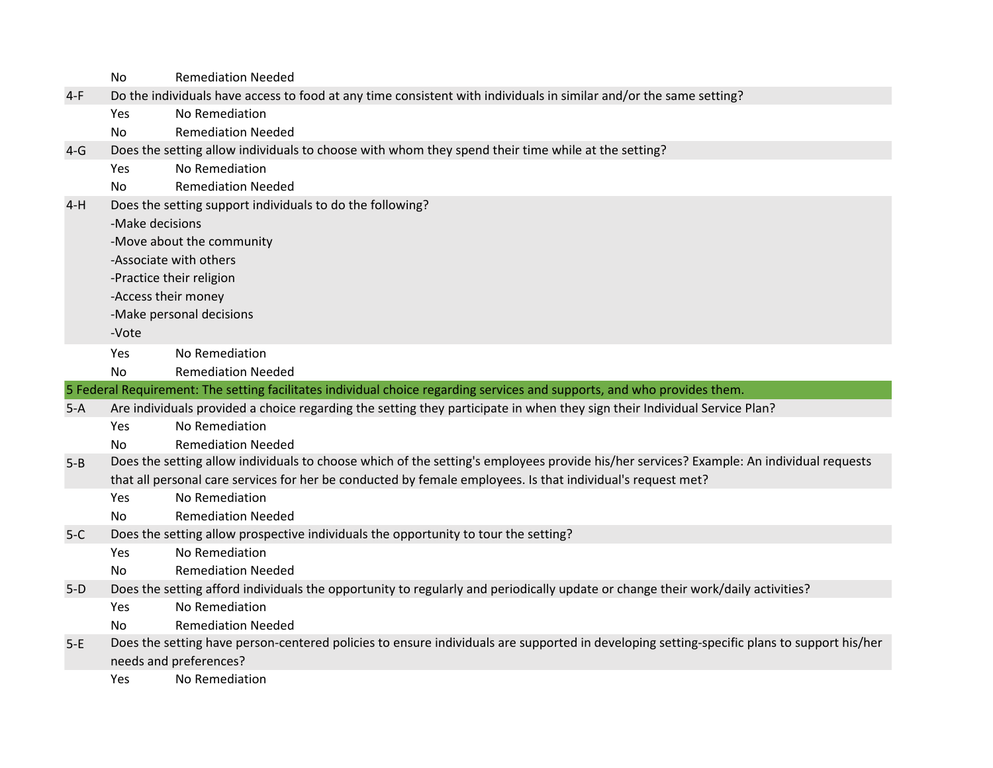|         | <b>No</b>                                                                                          | <b>Remediation Needed</b>                                                                                                                  |  |
|---------|----------------------------------------------------------------------------------------------------|--------------------------------------------------------------------------------------------------------------------------------------------|--|
| $4-F$   |                                                                                                    | Do the individuals have access to food at any time consistent with individuals in similar and/or the same setting?                         |  |
|         | Yes                                                                                                | No Remediation                                                                                                                             |  |
|         | No.                                                                                                | <b>Remediation Needed</b>                                                                                                                  |  |
| $4-G$   | Does the setting allow individuals to choose with whom they spend their time while at the setting? |                                                                                                                                            |  |
|         | Yes                                                                                                | No Remediation                                                                                                                             |  |
|         | No.                                                                                                | <b>Remediation Needed</b>                                                                                                                  |  |
| $4-H$   |                                                                                                    | Does the setting support individuals to do the following?                                                                                  |  |
|         | -Make decisions                                                                                    |                                                                                                                                            |  |
|         |                                                                                                    | -Move about the community                                                                                                                  |  |
|         | -Associate with others                                                                             |                                                                                                                                            |  |
|         | -Practice their religion                                                                           |                                                                                                                                            |  |
|         | -Access their money                                                                                |                                                                                                                                            |  |
|         |                                                                                                    | -Make personal decisions                                                                                                                   |  |
|         | -Vote                                                                                              |                                                                                                                                            |  |
|         | Yes                                                                                                | No Remediation                                                                                                                             |  |
|         | No.                                                                                                | <b>Remediation Needed</b>                                                                                                                  |  |
|         |                                                                                                    |                                                                                                                                            |  |
|         |                                                                                                    | 5 Federal Requirement: The setting facilitates individual choice regarding services and supports, and who provides them.                   |  |
| $5-A$   |                                                                                                    | Are individuals provided a choice regarding the setting they participate in when they sign their Individual Service Plan?                  |  |
|         | Yes                                                                                                | No Remediation                                                                                                                             |  |
|         | No.                                                                                                | <b>Remediation Needed</b>                                                                                                                  |  |
| $5 - B$ |                                                                                                    | Does the setting allow individuals to choose which of the setting's employees provide his/her services? Example: An individual requests    |  |
|         |                                                                                                    | that all personal care services for her be conducted by female employees. Is that individual's request met?                                |  |
|         | Yes                                                                                                | No Remediation                                                                                                                             |  |
|         | <b>No</b>                                                                                          | <b>Remediation Needed</b>                                                                                                                  |  |
| $5-C$   |                                                                                                    | Does the setting allow prospective individuals the opportunity to tour the setting?                                                        |  |
|         | Yes                                                                                                | No Remediation                                                                                                                             |  |
|         | No.                                                                                                | <b>Remediation Needed</b>                                                                                                                  |  |
| $5-D$   |                                                                                                    | Does the setting afford individuals the opportunity to regularly and periodically update or change their work/daily activities?            |  |
|         | Yes                                                                                                | No Remediation                                                                                                                             |  |
|         | No.                                                                                                | <b>Remediation Needed</b>                                                                                                                  |  |
| $5-E$   |                                                                                                    | Does the setting have person-centered policies to ensure individuals are supported in developing setting-specific plans to support his/her |  |
|         | Yes                                                                                                | needs and preferences?<br>No Remediation                                                                                                   |  |